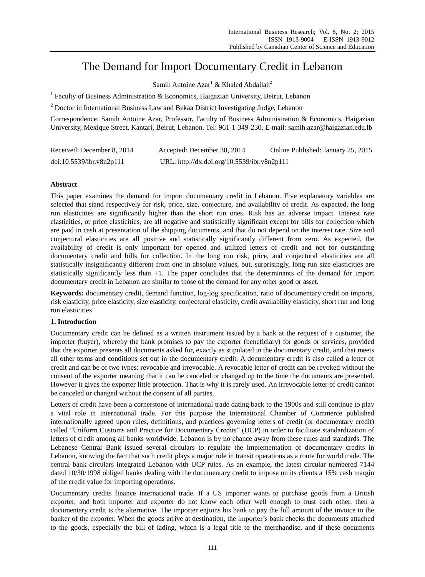# The Demand for Import Documentary Credit in Lebanon

Samih Antoine Azar<sup>1</sup> & Khaled Abdallah<sup>2</sup>

<sup>1</sup> Faculty of Business Administration & Economics, Haigazian University, Beirut, Lebanon

<sup>2</sup> Doctor in International Business Law and Bekaa District Investigating Judge, Lebanon

Correspondence: Samih Antoine Azar, Professor, Faculty of Business Administration & Economics, Haigazian University, Mexique Street, Kantari, Beirut, Lebanon. Tel: 961-1-349-230. E-mail: samih.azar@haigazian.edu.lb

| Received: December 8, 2014 | Accepted: December 30, 2014                 | Online Published: January 25, 2015 |
|----------------------------|---------------------------------------------|------------------------------------|
| doi:10.5539/ibr.v8n2p111   | URL: http://dx.doi.org/10.5539/ibr.v8n2p111 |                                    |

## **Abstract**

This paper examines the demand for import documentary credit in Lebanon. Five explanatory variables are selected that stand respectively for risk, price, size, conjecture, and availability of credit. As expected, the long run elasticities are significantly higher than the short run ones. Risk has an adverse impact. Interest rate elasticities, or price elasticities, are all negative and statistically significant except for bills for collection which are paid in cash at presentation of the shipping documents, and that do not depend on the interest rate. Size and conjectural elasticities are all positive and statistically significantly different from zero. As expected, the availability of credit is only important for opened and utilized letters of credit and not for outstanding documentary credit and bills for collection. In the long run risk, price, and conjectural elasticities are all statistically insignificantly different from one in absolute values, but, surprisingly, long run size elasticities are statistically significantly less than +1. The paper concludes that the determinants of the demand for import documentary credit in Lebanon are similar to those of the demand for any other good or asset.

**Keywords:** documentary credit, demand function, log-log specification, ratio of documentary credit on imports, risk elasticity, price elasticity, size elasticity, conjectural elasticity, credit availability elasticity, short run and long run elasticities

### **1. Introduction**

Documentary credit can be defined as a written instrument issued by a bank at the request of a customer, the importer (buyer), whereby the bank promises to pay the exporter (beneficiary) for goods or services, provided that the exporter presents all documents asked for, exactly as stipulated in the documentary credit, and that meets all other terms and conditions set out in the documentary credit. A documentary credit is also called a letter of credit and can be of two types: revocable and irrevocable. A revocable letter of credit can be revoked without the consent of the exporter meaning that it can be canceled or changed up to the time the documents are presented. However it gives the exporter little protection. That is why it is rarely used. An irrevocable letter of credit cannot be canceled or changed without the consent of all parties.

Letters of credit have been a cornerstone of international trade dating back to the 1900s and still continue to play a vital role in international trade. For this purpose the International Chamber of Commerce published internationally agreed upon rules, definitions, and practices governing letters of credit (or documentary credit) called "Uniform Customs and Practice for Documentary Credits" (UCP) in order to facilitate standardization of letters of credit among all banks worldwide. Lebanon is by no chance away from these rules and standards. The Lebanese Central Bank issued several circulars to regulate the implementation of documentary credits in Lebanon, knowing the fact that such credit plays a major role in transit operations as a route for world trade. The central bank circulars integrated Lebanon with UCP rules. As an example, the latest circular numbered 7144 dated 10/30/1998 obliged banks dealing with the documentary credit to impose on its clients a 15% cash margin of the credit value for importing operations.

Documentary credits finance international trade. If a US importer wants to purchase goods from a British exporter, and both importer and exporter do not know each other well enough to trust each other, then a documentary credit is the alternative. The importer enjoins his bank to pay the full amount of the invoice to the banker of the exporter. When the goods arrive at destination, the importer's bank checks the documents attached to the goods, especially the bill of lading, which is a legal title to the merchandise, and if these documents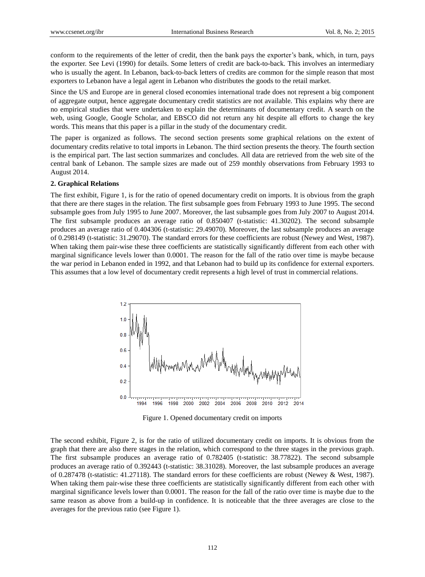conform to the requirements of the letter of credit, then the bank pays the exporter's bank, which, in turn, pays the exporter. See Levi (1990) for details. Some letters of credit are back-to-back. This involves an intermediary who is usually the agent. In Lebanon, back-to-back letters of credits are common for the simple reason that most exporters to Lebanon have a legal agent in Lebanon who distributes the goods to the retail market.

Since the US and Europe are in general closed economies international trade does not represent a big component of aggregate output, hence aggregate documentary credit statistics are not available. This explains why there are no empirical studies that were undertaken to explain the determinants of documentary credit. A search on the web, using Google, Google Scholar, and EBSCO did not return any hit despite all efforts to change the key words. This means that this paper is a pillar in the study of the documentary credit.

The paper is organized as follows. The second section presents some graphical relations on the extent of documentary credits relative to total imports in Lebanon. The third section presents the theory. The fourth section is the empirical part. The last section summarizes and concludes. All data are retrieved from the web site of the central bank of Lebanon. The sample sizes are made out of 259 monthly observations from February 1993 to August 2014.

#### **2. Graphical Relations**

The first exhibit, Figure 1, is for the ratio of opened documentary credit on imports. It is obvious from the graph that there are there stages in the relation. The first subsample goes from February 1993 to June 1995. The second subsample goes from July 1995 to June 2007. Moreover, the last subsample goes from July 2007 to August 2014. The first subsample produces an average ratio of 0.850407 (t-statistic: 41.30202). The second subsample produces an average ratio of 0.404306 (t-statistic: 29.49070). Moreover, the last subsample produces an average of 0.298149 (t-statistic: 31.29070). The standard errors for these coefficients are robust (Newey and West, 1987). When taking them pair-wise these three coefficients are statistically significantly different from each other with marginal significance levels lower than 0.0001. The reason for the fall of the ratio over time is maybe because the war period in Lebanon ended in 1992, and that Lebanon had to build up its confidence for external exporters. This assumes that a low level of documentary credit represents a high level of trust in commercial relations.



Figure 1. Opened documentary credit on imports

The second exhibit, Figure 2, is for the ratio of utilized documentary credit on imports. It is obvious from the graph that there are also there stages in the relation, which correspond to the three stages in the previous graph. The first subsample produces an average ratio of 0.782405 (t-statistic: 38.77822). The second subsample produces an average ratio of 0.392443 (t-statistic: 38.31028). Moreover, the last subsample produces an average of 0.287478 (t-statistic: 41.27118). The standard errors for these coefficients are robust (Newey & West, 1987). When taking them pair-wise these three coefficients are statistically significantly different from each other with marginal significance levels lower than 0.0001. The reason for the fall of the ratio over time is maybe due to the same reason as above from a build-up in confidence. It is noticeable that the three averages are close to the averages for the previous ratio (see Figure 1).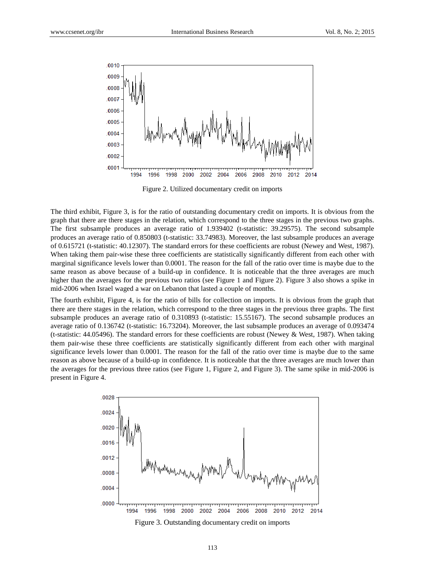

Figure 2. Utilized documentary credit on imports

The third exhibit, Figure 3, is for the ratio of outstanding documentary credit on imports. It is obvious from the graph that there are there stages in the relation, which correspond to the three stages in the previous two graphs. The first subsample produces an average ratio of 1.939402 (t-statistic: 39.29575). The second subsample produces an average ratio of 0.850803 (t-statistic: 33.74983). Moreover, the last subsample produces an average of 0.615721 (t-statistic: 40.12307). The standard errors for these coefficients are robust (Newey and West, 1987). When taking them pair-wise these three coefficients are statistically significantly different from each other with marginal significance levels lower than 0.0001. The reason for the fall of the ratio over time is maybe due to the same reason as above because of a build-up in confidence. It is noticeable that the three averages are much higher than the averages for the previous two ratios (see Figure 1 and Figure 2). Figure 3 also shows a spike in mid-2006 when Israel waged a war on Lebanon that lasted a couple of months.

The fourth exhibit, Figure 4, is for the ratio of bills for collection on imports. It is obvious from the graph that there are there stages in the relation, which correspond to the three stages in the previous three graphs. The first subsample produces an average ratio of 0.310893 (t-statistic: 15.55167). The second subsample produces an average ratio of 0.136742 (t-statistic: 16.73204). Moreover, the last subsample produces an average of 0.093474 (t-statistic: 44.05496). The standard errors for these coefficients are robust (Newey & West, 1987). When taking them pair-wise these three coefficients are statistically significantly different from each other with marginal significance levels lower than 0.0001. The reason for the fall of the ratio over time is maybe due to the same reason as above because of a build-up in confidence. It is noticeable that the three averages are much lower than the averages for the previous three ratios (see Figure 1, Figure 2, and Figure 3). The same spike in mid-2006 is present in Figure 4.



Figure 3. Outstanding documentary credit on imports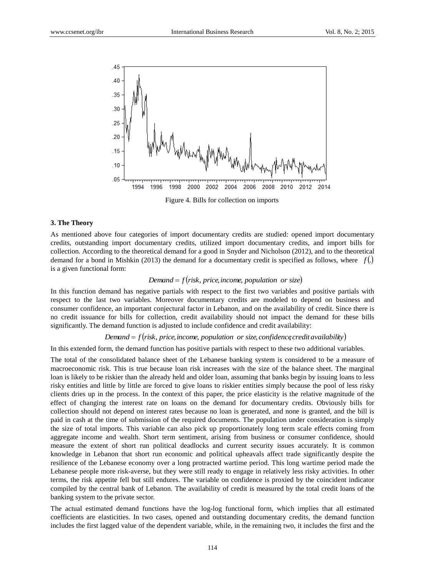

Figure 4. Bills for collection on imports

#### **3. The Theory**

As mentioned above four categories of import documentary credits are studied: opened import documentary credits, outstanding import documentary credits, utilized import documentary credits, and import bills for collection. According to the theoretical demand for a good in Snyder and Nicholson (2012), and to the theoretical demand for a bond in Mishkin (2013) the demand for a documentary credit is specified as follows, where  $f(.)$ is a given functional form:

# *Demand* =  $f$ (*risk*, *price*, *income*, *population or size*)

In this function demand has negative partials with respect to the first two variables and positive partials with respect to the last two variables. Moreover documentary credits are modeled to depend on business and consumer confidence, an important conjectural factor in Lebanon, and on the availability of credit. Since there is no credit issuance for bills for collection, credit availability should not impact the demand for these bills significantly. The demand function is adjusted to include confidence and credit availability:

# *Demand* =  $f(risk, price, income, population or size, confidence credit availability)$

In this extended form, the demand function has positive partials with respect to these two additional variables.

The total of the consolidated balance sheet of the Lebanese banking system is considered to be a measure of macroeconomic risk. This is true because loan risk increases with the size of the balance sheet. The marginal loan is likely to be riskier than the already held and older loan, assuming that banks begin by issuing loans to less risky entities and little by little are forced to give loans to riskier entities simply because the pool of less risky clients dries up in the process. In the context of this paper, the price elasticity is the relative magnitude of the effect of changing the interest rate on loans on the demand for documentary credits. Obviously bills for collection should not depend on interest rates because no loan is generated, and none is granted, and the bill is paid in cash at the time of submission of the required documents. The population under consideration is simply the size of total imports. This variable can also pick up proportionately long term scale effects coming from aggregate income and wealth. Short term sentiment, arising from business or consumer confidence, should measure the extent of short run political deadlocks and current security issues accurately. It is common knowledge in Lebanon that short run economic and political upheavals affect trade significantly despite the resilience of the Lebanese economy over a long protracted wartime period. This long wartime period made the Lebanese people more risk-averse, but they were still ready to engage in relatively less risky activities. In other terms, the risk appetite fell but still endures. The variable on confidence is proxied by the coincident indicator compiled by the central bank of Lebanon. The availability of credit is measured by the total credit loans of the banking system to the private sector.

The actual estimated demand functions have the log-log functional form, which implies that all estimated coefficients are elasticities. In two cases, opened and outstanding documentary credits, the demand function includes the first lagged value of the dependent variable, while, in the remaining two, it includes the first and the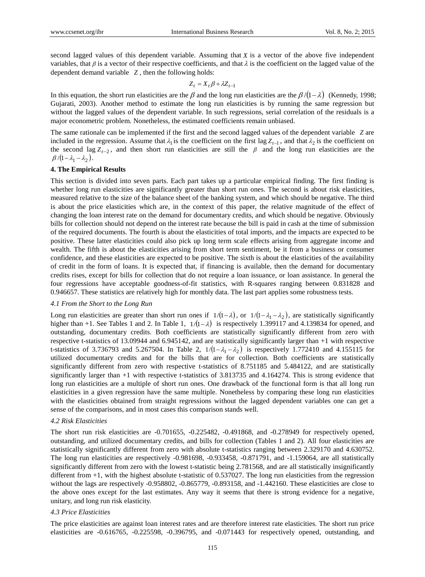second lagged values of this dependent variable. Assuming that X is a vector of the above five independent variables, that  $\beta$  is a vector of their respective coefficients, and that  $\lambda$  is the coefficient on the lagged value of the dependent demand variable *Z* , then the following holds:

$$
Z_t = X_t \beta + \lambda Z_{t-1}
$$

In this equation, the short run elasticities are the  $\beta$  and the long run elasticities are the  $\beta/(1-\lambda)$  (Kennedy, 1998; Gujarati, 2003). Another method to estimate the long run elasticities is by running the same regression but without the lagged values of the dependent variable. In such regressions, serial correlation of the residuals is a major econometric problem. Nonetheless, the estimated coefficients remain unbiased.

The same rationale can be implemented if the first and the second lagged values of the dependent variable *Z* are included in the regression. Assume that  $\lambda_1$  is the coefficient on the first lag  $Z_{t-1}$ , and that  $\lambda_2$  is the coefficient on the second lag  $Z_{t-2}$ , and then short run elasticities are still the  $\beta$  and the long run elasticities are the  $\beta$  /  $(1 - \lambda_1 - \lambda_2)$ .

# **4. The Empirical Results**

This section is divided into seven parts. Each part takes up a particular empirical finding. The first finding is whether long run elasticities are significantly greater than short run ones. The second is about risk elasticities, measured relative to the size of the balance sheet of the banking system, and which should be negative. The third is about the price elasticities which are, in the context of this paper, the relative magnitude of the effect of changing the loan interest rate on the demand for documentary credits, and which should be negative. Obviously bills for collection should not depend on the interest rate because the bill is paid in cash at the time of submission of the required documents. The fourth is about the elasticities of total imports, and the impacts are expected to be positive. These latter elasticities could also pick up long term scale effects arising from aggregate income and wealth. The fifth is about the elasticities arising from short term sentiment, be it from a business or consumer confidence, and these elasticities are expected to be positive. The sixth is about the elasticities of the availability of credit in the form of loans. It is expected that, if financing is available, then the demand for documentary credits rises, except for bills for collection that do not require a loan issuance, or loan assistance. In general the four regressions have acceptable goodness-of-fit statistics, with R-squares ranging between 0.831828 and 0.946657. These statistics are relatively high for monthly data. The last part applies some robustness tests.

#### *4.1 From the Short to the Long Run*

Long run elasticities are greater than short run ones if  $1/(1-\lambda)$ , or  $1/(1-\lambda_1-\lambda_2)$ , are statistically significantly higher than +1. See Tables 1 and 2. In Table 1,  $1/(1-\lambda)$  is respectively 1.399117 and 4.139834 for opened, and outstanding, documentary credits. Both coefficients are statistically significantly different from zero with respective t-statistics of 13.09944 and 6.945142, and are statistically significantly larger than +1 with respective t-statistics of 3.736793 and 5.267504. In Table 2,  $1/(1 - \lambda_1 - \lambda_2)$  is respectively 1.772410 and 4.155115 for utilized documentary credits and for the bills that are for collection. Both coefficients are statistically significantly different from zero with respective t-statistics of 8.751185 and 5.484122, and are statistically significantly larger than +1 with respective t-statistics of 3.813735 and 4.164274. This is strong evidence that long run elasticities are a multiple of short run ones. One drawback of the functional form is that all long run elasticities in a given regression have the same multiple. Nonetheless by comparing these long run elasticities with the elasticities obtained from straight regressions without the lagged dependent variables one can get a sense of the comparisons, and in most cases this comparison stands well.

## *4.2 Risk Elasticities*

The short run risk elasticities are -0.701655, -0.225482, -0.491868, and -0.278949 for respectively opened, outstanding, and utilized documentary credits, and bills for collection (Tables 1 and 2). All four elasticities are statistically significantly different from zero with absolute t-statistics ranging between 2.329170 and 4.630752. The long run elasticities are respectively -0.981698, -0.933458, -0.871791, and -1.159064, are all statistically significantly different from zero with the lowest t-statistic being 2.781568, and are all statistically insignificantly different from +1, with the highest absolute t-statistic of 0.537027. The long run elasticities from the regression without the lags are respectively -0.958802, -0.865779, -0.893158, and -1.442160. These elasticities are close to the above ones except for the last estimates. Any way it seems that there is strong evidence for a negative, unitary, and long run risk elasticity.

#### *4.3 Price Elasticities*

The price elasticities are against loan interest rates and are therefore interest rate elasticities. The short run price elasticities are -0.616765, -0.225598, -0.396795, and -0.071443 for respectively opened, outstanding, and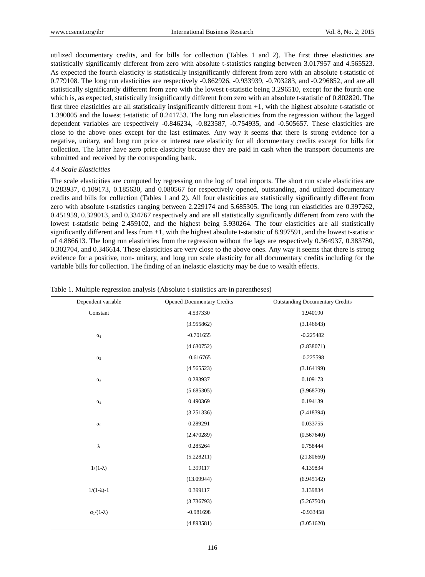utilized documentary credits, and for bills for collection (Tables 1 and 2). The first three elasticities are statistically significantly different from zero with absolute t-statistics ranging between 3.017957 and 4.565523. As expected the fourth elasticity is statistically insignificantly different from zero with an absolute t-statistic of 0.779108. The long run elasticities are respectively -0.862926, -0.933939, -0.703283, and -0.296852, and are all statistically significantly different from zero with the lowest t-statistic being 3.296510, except for the fourth one which is, as expected, statistically insignificantly different from zero with an absolute t-statistic of 0.802820. The first three elasticities are all statistically insignificantly different from +1, with the highest absolute t-statistic of 1.390805 and the lowest t-statistic of 0.241753. The long run elasticities from the regression without the lagged dependent variables are respectively -0.846234, -0.823587, -0.754935, and -0.505657. These elasticities are close to the above ones except for the last estimates. Any way it seems that there is strong evidence for a negative, unitary, and long run price or interest rate elasticity for all documentary credits except for bills for collection. The latter have zero price elasticity because they are paid in cash when the transport documents are submitted and received by the corresponding bank.

#### *4.4 Scale Elasticities*

The scale elasticities are computed by regressing on the log of total imports. The short run scale elasticities are 0.283937, 0.109173, 0.185630, and 0.080567 for respectively opened, outstanding, and utilized documentary credits and bills for collection (Tables 1 and 2). All four elasticities are statistically significantly different from zero with absolute t-statistics ranging between 2.229174 and 5.685305. The long run elasticities are 0.397262, 0.451959, 0.329013, and 0.334767 respectively and are all statistically significantly different from zero with the lowest t-statistic being 2.459102, and the highest being 5.930264. The four elasticities are all statistically significantly different and less from +1, with the highest absolute t-statistic of 8.997591, and the lowest t-statistic of 4.886613. The long run elasticities from the regression without the lags are respectively 0.364937, 0.383780, 0.302704, and 0.346614. These elasticities are very close to the above ones. Any way it seems that there is strong evidence for a positive, non- unitary, and long run scale elasticity for all documentary credits including for the variable bills for collection. The finding of an inelastic elasticity may be due to wealth effects.

| Dependent variable     | <b>Opened Documentary Credits</b> | <b>Outstanding Documentary Credits</b> |
|------------------------|-----------------------------------|----------------------------------------|
| Constant               | 4.537330                          | 1.940190                               |
|                        | (3.955862)                        | (3.146643)                             |
| $\alpha_1$             | $-0.701655$                       | $-0.225482$                            |
|                        | (4.630752)                        | (2.838071)                             |
| $\alpha_2$             | $-0.616765$                       | $-0.225598$                            |
|                        | (4.565523)                        | (3.164199)                             |
| $\alpha_3$             | 0.283937                          | 0.109173                               |
|                        | (5.685305)                        | (3.968709)                             |
| $\alpha_4$             | 0.490369                          | 0.194139                               |
|                        | (3.251336)                        | (2.418394)                             |
| $\alpha_5$             | 0.289291                          | 0.033755                               |
|                        | (2.470289)                        | (0.567640)                             |
| λ                      | 0.285264                          | 0.758444                               |
|                        | (5.228211)                        | (21.80660)                             |
| $1/(1-\lambda)$        | 1.399117                          | 4.139834                               |
|                        | (13.09944)                        | (6.945142)                             |
| $1/(1-\lambda) - 1$    | 0.399117                          | 3.139834                               |
|                        | (3.736793)                        | (5.267504)                             |
| $\alpha_1/(1-\lambda)$ | $-0.981698$                       | $-0.933458$                            |
|                        | (4.893581)                        | (3.051620)                             |

Table 1. Multiple regression analysis (Absolute t-statistics are in parentheses)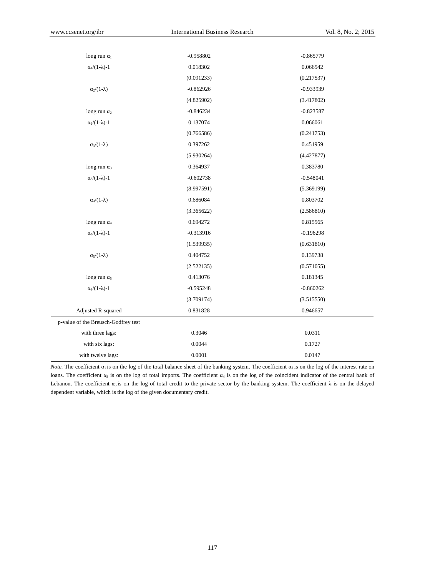| long run $\alpha_1$                 | $-0.958802$ | $-0.865779$ |
|-------------------------------------|-------------|-------------|
| $\alpha_1/(1-\lambda)-1$            | 0.018302    | 0.066542    |
|                                     | (0.091233)  | (0.217537)  |
| $\alpha_2/(1-\lambda)$              | $-0.862926$ | $-0.933939$ |
|                                     | (4.825902)  | (3.417802)  |
| long run $\alpha_2$                 | $-0.846234$ | $-0.823587$ |
| $\alpha_2$ /(1- $\lambda$ )-1       | 0.137074    | 0.066061    |
|                                     | (0.766586)  | (0.241753)  |
| $\alpha_3/(1-\lambda)$              | 0.397262    | 0.451959    |
|                                     | (5.930264)  | (4.427877)  |
| long run $\alpha_3$                 | 0.364937    | 0.383780    |
| $\alpha_3/(1-\lambda)-1$            | $-0.602738$ | $-0.548041$ |
|                                     | (8.997591)  | (5.369199)  |
| $\alpha_4/(1-\lambda)$              | 0.686084    | 0.803702    |
|                                     | (3.365622)  | (2.586810)  |
| long run $\alpha_4$                 | 0.694272    | 0.815565    |
| $α4/(1-λ)-1$                        | $-0.313916$ | $-0.196298$ |
|                                     | (1.539935)  | (0.631810)  |
| $\alpha_5/(1-\lambda)$              | 0.404752    | 0.139738    |
|                                     | (2.522135)  | (0.571055)  |
| long run $\alpha_5$                 | 0.413076    | 0.181345    |
| $\alpha_{5}/(1-\lambda)-1$          | $-0.595248$ | $-0.860262$ |
|                                     | (3.709174)  | (3.515550)  |
| Adjusted R-squared                  | 0.831828    | 0.946657    |
| p-value of the Breusch-Godfrey test |             |             |
| with three lags:                    | 0.3046      | 0.0311      |
| with six lags:                      | 0.0044      | 0.1727      |
| with twelve lags:                   | 0.0001      | 0.0147      |

*Note.* The coefficient  $\alpha_1$  is on the log of the total balance sheet of the banking system. The coefficient  $\alpha_2$  is on the log of the interest rate on loans. The coefficient  $\alpha_3$  is on the log of total imports. The coefficient  $\alpha_4$  is on the log of the coincident indicator of the central bank of Lebanon. The coefficient  $\alpha_5$  is on the log of total credit to the private sector by the banking system. The coefficient  $\lambda$  is on the delayed dependent variable, which is the log of the given documentary credit.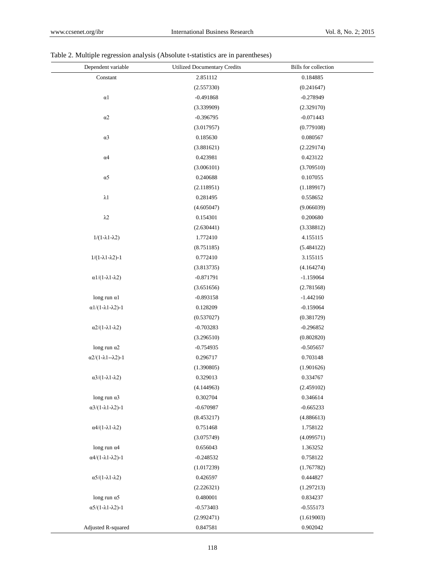# Table 2. Multiple regression analysis (Absolute t-statistics are in parentheses)

| Dependent variable                          | <b>Utilized Documentary Credits</b> | Bills for collection |
|---------------------------------------------|-------------------------------------|----------------------|
| Constant                                    | 2.851112                            | 0.184885             |
|                                             | (2.557330)                          | (0.241647)           |
| $\alpha$                                    | $-0.491868$                         | $-0.278949$          |
|                                             | (3.339909)                          | (2.329170)           |
| $\alpha$ 2                                  | $-0.396795$                         | $-0.071443$          |
|                                             | (3.017957)                          | (0.779108)           |
| $\alpha$ 3                                  | 0.185630                            | 0.080567             |
|                                             | (3.881621)                          | (2.229174)           |
| $\alpha$ 4                                  | 0.423981                            | 0.423122             |
|                                             | (3.006101)                          | (3.709510)           |
| $\alpha$ 5                                  | 0.240688                            | 0.107055             |
|                                             | (2.118951)                          | (1.189917)           |
| $\lambda1$                                  | 0.281495                            | 0.558652             |
|                                             | (4.605047)                          | (9.066039)           |
| $\lambda2$                                  | 0.154301                            | 0.200680             |
|                                             | (2.630441)                          | (3.338812)           |
| $1/(1 - \lambda 1 - \lambda 2)$             | 1.772410                            | 4.155115             |
|                                             | (8.751185)                          | (5.484122)           |
| $1/(1 - \lambda 1 - \lambda 2) - 1$         | 0.772410                            | 3.155115             |
|                                             | (3.813735)                          | (4.164274)           |
| $\alpha$ 1/(1- $\lambda$ 1- $\lambda$ 2)    | $-0.871791$                         | $-1.159064$          |
|                                             | (3.651656)                          | (2.781568)           |
| long run $\alpha$ l                         | $-0.893158$                         | $-1.442160$          |
| $\alpha$ 1/(1- $\lambda$ 1- $\lambda$ 2)-1  | 0.128209                            | $-0.159064$          |
|                                             | (0.537027)                          | (0.381729)           |
| $\alpha$ 2/(1- $\lambda$ 1- $\lambda$ 2)    | $-0.703283$                         | $-0.296852$          |
|                                             | (3.296510)                          | (0.802820)           |
| long run $\alpha$ 2                         | $-0.754935$                         | $-0.505657$          |
| $\alpha$ 2/(1- $\lambda$ 1-- $\lambda$ 2)-1 | 0.296717                            | 0.703148             |
|                                             | (1.390805)                          | (1.901626)           |
| $\alpha$ 3/(1- $\lambda$ 1- $\lambda$ 2)    | 0.329013                            | 0.334767             |
|                                             | (4.144963)                          | (2.459102)           |
| long run a3                                 | 0.302704                            | 0.346614             |
| $\alpha$ 3/(1- $\lambda$ 1- $\lambda$ 2)-1  | $-0.670987$                         | $-0.665233$          |
|                                             | (8.453217)                          | (4.886613)           |
| $\alpha$ 4/(1- $\lambda$ 1- $\lambda$ 2)    | 0.751468                            | 1.758122             |
|                                             | (3.075749)                          | (4.099571)           |
| long run $\alpha$ 4                         | 0.656043                            | 1.363252             |
| $\alpha$ 4/(1- $\lambda$ 1- $\lambda$ 2)-1  | $-0.248532$                         | 0.758122             |
|                                             | (1.017239)                          | (1.767782)           |
| $\alpha$ 5/(1- $\lambda$ 1- $\lambda$ 2)    | 0.426597                            | 0.444827             |
|                                             | (2.226321)                          | (1.297213)           |
| long run $\alpha$ 5                         | 0.480001                            | 0.834237             |
| $\alpha$ 5/(1- $\lambda$ 1- $\lambda$ 2)-1  | $-0.573403$                         | $-0.555173$          |
|                                             | (2.992471)                          | (1.619003)           |
| Adjusted R-squared                          | 0.847581                            | 0.902042             |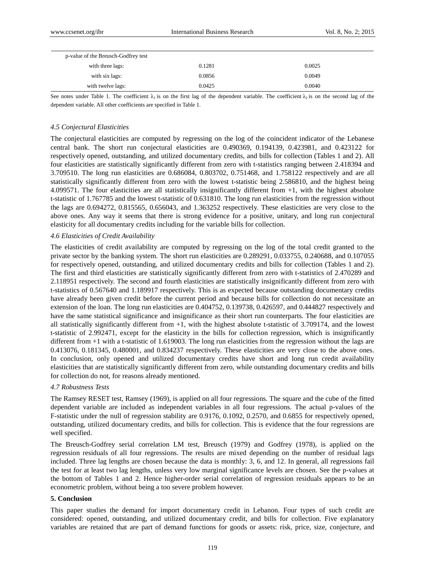| p-value of the Breusch-Godfrey test |        |        |
|-------------------------------------|--------|--------|
| with three lags:                    | 0.1281 | 0.0025 |
| with six lags:                      | 0.0856 | 0.0049 |
| with twelve lags:                   | 0.0425 | 0.0040 |

See notes under Table 1. The coefficient  $\lambda_1$  is on the first lag of the dependent variable. The coefficient  $\lambda_2$  is on the second lag of the dependent variable. All other coefficients are specified in Table 1.

#### *4.5 Conjectural Elasticities*

The conjectural elasticities are computed by regressing on the log of the coincident indicator of the Lebanese central bank. The short run conjectural elasticities are 0.490369, 0.194139, 0.423981, and 0.423122 for respectively opened, outstanding, and utilized documentary credits, and bills for collection (Tables 1 and 2). All four elasticities are statistically significantly different from zero with t-statistics ranging between 2.418394 and 3.709510. The long run elasticities are 0.686084, 0.803702, 0.751468, and 1.758122 respectively and are all statistically significantly different from zero with the lowest t-statistic being 2.586810, and the highest being 4.099571. The four elasticities are all statistically insignificantly different from +1, with the highest absolute t-statistic of 1.767785 and the lowest t-statistic of 0.631810. The long run elasticities from the regression without the lags are 0.694272, 0.815565, 0.656043, and 1.363252 respectively. These elasticities are very close to the above ones. Any way it seems that there is strong evidence for a positive, unitary, and long run conjectural elasticity for all documentary credits including for the variable bills for collection.

#### *4.6 Elasticities of Credit Availability*

The elasticities of credit availability are computed by regressing on the log of the total credit granted to the private sector by the banking system. The short run elasticities are 0.289291, 0.033755, 0.240688, and 0.107055 for respectively opened, outstanding, and utilized documentary credits and bills for collection (Tables 1 and 2). The first and third elasticities are statistically significantly different from zero with t-statistics of 2.470289 and 2.118951 respectively. The second and fourth elasticities are statistically insignificantly different from zero with t-statistics of 0.567640 and 1.189917 respectively. This is as expected because outstanding documentary credits have already been given credit before the current period and because bills for collection do not necessitate an extension of the loan. The long run elasticities are 0.404752, 0.139738, 0.426597, and 0.444827 respectively and have the same statistical significance and insignificance as their short run counterparts. The four elasticities are all statistically significantly different from +1, with the highest absolute t-statistic of 3.709174, and the lowest t-statistic of 2.992471, except for the elasticity in the bills for collection regression, which is insignificantly different from +1 with a t-statistic of 1.619003. The long run elasticities from the regression without the lags are 0.413076, 0.181345, 0.480001, and 0.834237 respectively. These elasticities are very close to the above ones. In conclusion, only opened and utilized documentary credits have short and long run credit availability elasticities that are statistically significantly different from zero, while outstanding documentary credits and bills for collection do not, for reasons already mentioned.

#### *4.7 Robustness Tests*

The Ramsey RESET test, Ramsey (1969), is applied on all four regressions. The square and the cube of the fitted dependent variable are included as independent variables in all four regressions. The actual p-values of the F-statistic under the null of regression stability are 0.9176, 0.1092, 0.2570, and 0.6855 for respectively opened, outstanding, utilized documentary credits, and bills for collection. This is evidence that the four regressions are well specified.

The Breusch-Godfrey serial correlation LM test, Breusch (1979) and Godfrey (1978), is applied on the regression residuals of all four regressions. The results are mixed depending on the number of residual lags included. Three lag lengths are chosen because the data is monthly: 3, 6, and 12. In general, all regressions fail the test for at least two lag lengths, unless very low marginal significance levels are chosen. See the p-values at the bottom of Tables 1 and 2. Hence higher-order serial correlation of regression residuals appears to be an econometric problem, without being a too severe problem however.

#### **5. Conclusion**

This paper studies the demand for import documentary credit in Lebanon. Four types of such credit are considered: opened, outstanding, and utilized documentary credit, and bills for collection. Five explanatory variables are retained that are part of demand functions for goods or assets: risk, price, size, conjecture, and